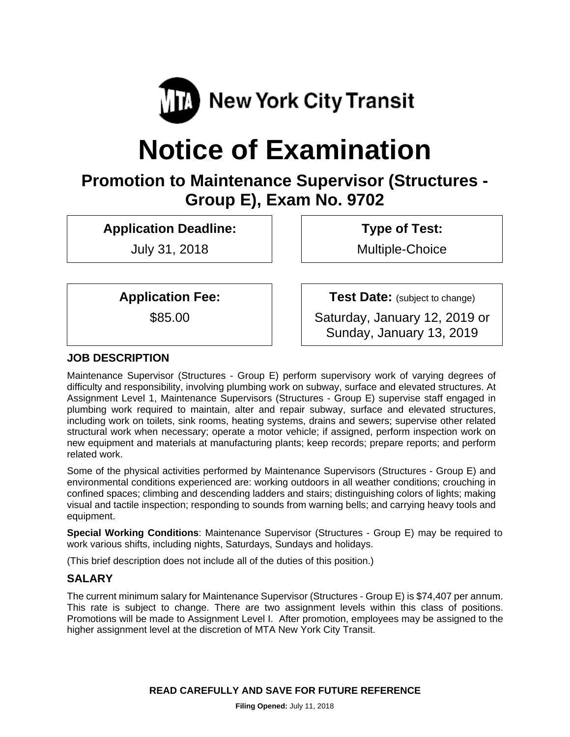

# **Notice of Examination**

# **Promotion to Maintenance Supervisor (Structures - Group E), Exam No. 9702**

**Application Deadline:** 

July 31, 2018

 **Type of Test:** 

Multiple-Choice

**Application Fee:** 

\$85.00

**Test Date:** (subject to change)

Saturday, January 12, 2019 or Sunday, January 13, 2019

# **JOB DESCRIPTION**

Maintenance Supervisor (Structures - Group E) perform supervisory work of varying degrees of difficulty and responsibility, involving plumbing work on subway, surface and elevated structures. At Assignment Level 1, Maintenance Supervisors (Structures - Group E) supervise staff engaged in plumbing work required to maintain, alter and repair subway, surface and elevated structures, including work on toilets, sink rooms, heating systems, drains and sewers; supervise other related structural work when necessary; operate a motor vehicle; if assigned, perform inspection work on new equipment and materials at manufacturing plants; keep records; prepare reports; and perform related work.

Some of the physical activities performed by Maintenance Supervisors (Structures - Group E) and environmental conditions experienced are: working outdoors in all weather conditions; crouching in confined spaces; climbing and descending ladders and stairs; distinguishing colors of lights; making visual and tactile inspection; responding to sounds from warning bells; and carrying heavy tools and equipment.

**Special Working Conditions**: Maintenance Supervisor (Structures - Group E) may be required to work various shifts, including nights, Saturdays, Sundays and holidays.

(This brief description does not include all of the duties of this position.)

#### **SALARY**

The current minimum salary for Maintenance Supervisor (Structures - Group E) is \$74,407 per annum. This rate is subject to change. There are two assignment levels within this class of positions. Promotions will be made to Assignment Level I. After promotion, employees may be assigned to the higher assignment level at the discretion of MTA New York City Transit.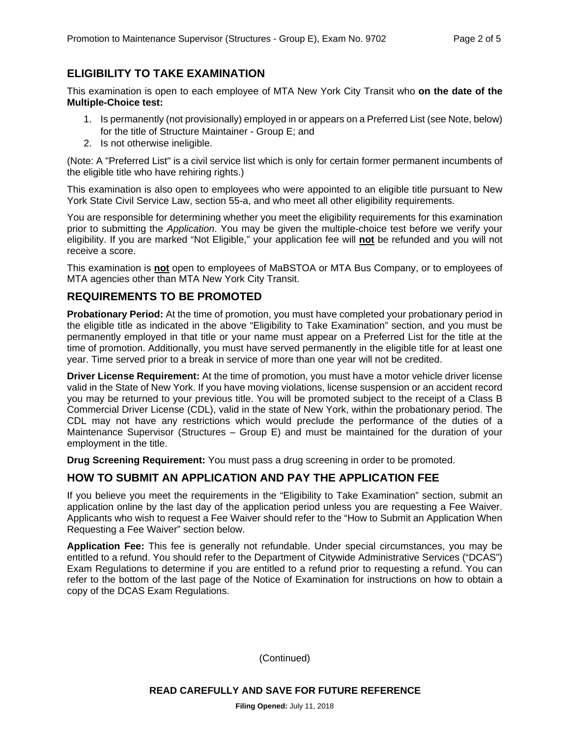### **ELIGIBILITY TO TAKE EXAMINATION**

This examination is open to each employee of MTA New York City Transit who **on the date of the Multiple-Choice test:** 

- 1. Is permanently (not provisionally) employed in or appears on a Preferred List (see Note, below) for the title of Structure Maintainer - Group E; and
- 2. Is not otherwise ineligible.

(Note: A "Preferred List" is a civil service list which is only for certain former permanent incumbents of the eligible title who have rehiring rights.)

This examination is also open to employees who were appointed to an eligible title pursuant to New York State Civil Service Law, section 55-a, and who meet all other eligibility requirements.

You are responsible for determining whether you meet the eligibility requirements for this examination prior to submitting the *Application*. You may be given the multiple-choice test before we verify your eligibility. If you are marked "Not Eligible," your application fee will **not** be refunded and you will not receive a score.

This examination is **not** open to employees of MaBSTOA or MTA Bus Company, or to employees of MTA agencies other than MTA New York City Transit.

#### **REQUIREMENTS TO BE PROMOTED**

**Probationary Period:** At the time of promotion, you must have completed your probationary period in the eligible title as indicated in the above "Eligibility to Take Examination" section, and you must be permanently employed in that title or your name must appear on a Preferred List for the title at the time of promotion. Additionally, you must have served permanently in the eligible title for at least one year. Time served prior to a break in service of more than one year will not be credited.

**Driver License Requirement:** At the time of promotion, you must have a motor vehicle driver license valid in the State of New York. If you have moving violations, license suspension or an accident record you may be returned to your previous title. You will be promoted subject to the receipt of a Class B Commercial Driver License (CDL), valid in the state of New York, within the probationary period. The CDL may not have any restrictions which would preclude the performance of the duties of a Maintenance Supervisor (Structures – Group E) and must be maintained for the duration of your employment in the title.

**Drug Screening Requirement:** You must pass a drug screening in order to be promoted.

## **HOW TO SUBMIT AN APPLICATION AND PAY THE APPLICATION FEE**

If you believe you meet the requirements in the "Eligibility to Take Examination" section, submit an application online by the last day of the application period unless you are requesting a Fee Waiver. Applicants who wish to request a Fee Waiver should refer to the "How to Submit an Application When Requesting a Fee Waiver" section below.

**Application Fee:** This fee is generally not refundable. Under special circumstances, you may be entitled to a refund. You should refer to the Department of Citywide Administrative Services ("DCAS") Exam Regulations to determine if you are entitled to a refund prior to requesting a refund. You can refer to the bottom of the last page of the Notice of Examination for instructions on how to obtain a copy of the DCAS Exam Regulations.

(Continued)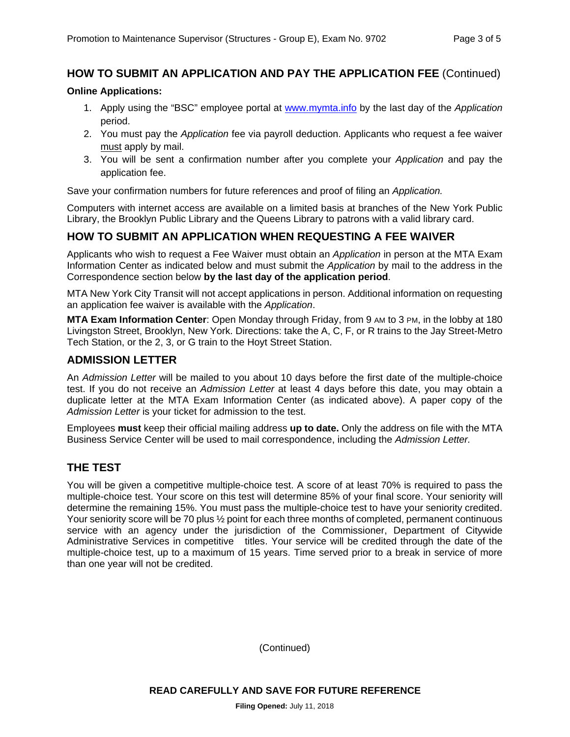#### **HOW TO SUBMIT AN APPLICATION AND PAY THE APPLICATION FEE** (Continued)

#### **Online Applications:**

- 1. Apply using the "BSC" employee portal at www.mymta.info by the last day of the *Application*  period.
- 2. You must pay the *Application* fee via payroll deduction. Applicants who request a fee waiver must apply by mail.
- 3. You will be sent a confirmation number after you complete your *Application* and pay the application fee.

Save your confirmation numbers for future references and proof of filing an *Application.*

Computers with internet access are available on a limited basis at branches of the New York Public Library, the Brooklyn Public Library and the Queens Library to patrons with a valid library card.

#### **HOW TO SUBMIT AN APPLICATION WHEN REQUESTING A FEE WAIVER**

Applicants who wish to request a Fee Waiver must obtain an *Application* in person at the MTA Exam Information Center as indicated below and must submit the *Application* by mail to the address in the Correspondence section below **by the last day of the application period**.

MTA New York City Transit will not accept applications in person. Additional information on requesting an application fee waiver is available with the *Application*.

**MTA Exam Information Center**: Open Monday through Friday, from 9 AM to 3 PM, in the lobby at 180 Livingston Street, Brooklyn, New York. Directions: take the A, C, F, or R trains to the Jay Street-Metro Tech Station, or the 2, 3, or G train to the Hoyt Street Station.

#### **ADMISSION LETTER**

An *Admission Letter* will be mailed to you about 10 days before the first date of the multiple-choice test. If you do not receive an *Admission Letter* at least 4 days before this date, you may obtain a duplicate letter at the MTA Exam Information Center (as indicated above). A paper copy of the *Admission Letter* is your ticket for admission to the test.

Employees **must** keep their official mailing address **up to date.** Only the address on file with the MTA Business Service Center will be used to mail correspondence, including the *Admission Letter.*

#### **THE TEST**

You will be given a competitive multiple-choice test. A score of at least 70% is required to pass the multiple-choice test. Your score on this test will determine 85% of your final score. Your seniority will determine the remaining 15%. You must pass the multiple-choice test to have your seniority credited. Your seniority score will be 70 plus  $\frac{1}{2}$  point for each three months of completed, permanent continuous service with an agency under the jurisdiction of the Commissioner, Department of Citywide Administrative Services in competitive titles. Your service will be credited through the date of the multiple-choice test, up to a maximum of 15 years. Time served prior to a break in service of more than one year will not be credited.

(Continued)

**READ CAREFULLY AND SAVE FOR FUTURE REFERENCE**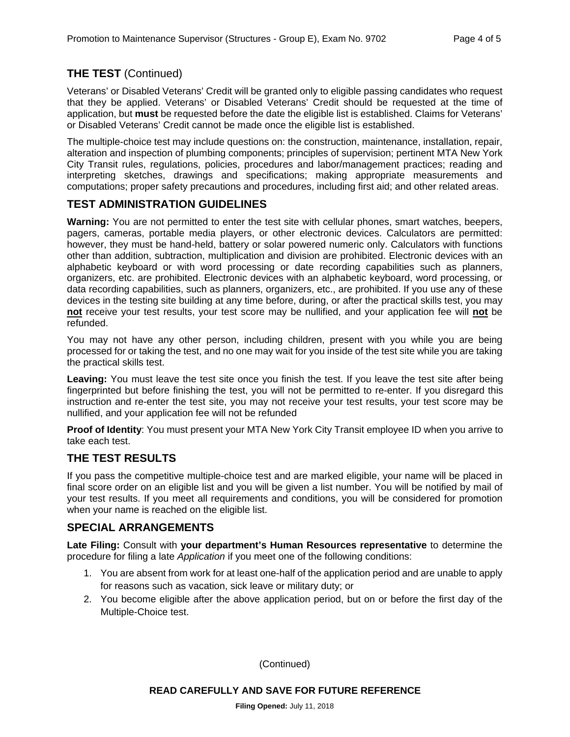# **THE TEST** (Continued)

Veterans' or Disabled Veterans' Credit will be granted only to eligible passing candidates who request that they be applied. Veterans' or Disabled Veterans' Credit should be requested at the time of application, but **must** be requested before the date the eligible list is established. Claims for Veterans' or Disabled Veterans' Credit cannot be made once the eligible list is established.

The multiple-choice test may include questions on: the construction, maintenance, installation, repair, alteration and inspection of plumbing components; principles of supervision; pertinent MTA New York City Transit rules, regulations, policies, procedures and labor/management practices; reading and interpreting sketches, drawings and specifications; making appropriate measurements and computations; proper safety precautions and procedures, including first aid; and other related areas.

# **TEST ADMINISTRATION GUIDELINES**

**Warning:** You are not permitted to enter the test site with cellular phones, smart watches, beepers, pagers, cameras, portable media players, or other electronic devices. Calculators are permitted: however, they must be hand-held, battery or solar powered numeric only. Calculators with functions other than addition, subtraction, multiplication and division are prohibited. Electronic devices with an alphabetic keyboard or with word processing or date recording capabilities such as planners, organizers, etc. are prohibited. Electronic devices with an alphabetic keyboard, word processing, or data recording capabilities, such as planners, organizers, etc., are prohibited. If you use any of these devices in the testing site building at any time before, during, or after the practical skills test, you may **not** receive your test results, your test score may be nullified, and your application fee will **not** be refunded.

You may not have any other person, including children, present with you while you are being processed for or taking the test, and no one may wait for you inside of the test site while you are taking the practical skills test.

Leaving: You must leave the test site once you finish the test. If you leave the test site after being fingerprinted but before finishing the test, you will not be permitted to re-enter. If you disregard this instruction and re-enter the test site, you may not receive your test results, your test score may be nullified, and your application fee will not be refunded

**Proof of Identity**: You must present your MTA New York City Transit employee ID when you arrive to take each test.

#### **THE TEST RESULTS**

If you pass the competitive multiple-choice test and are marked eligible, your name will be placed in final score order on an eligible list and you will be given a list number. You will be notified by mail of your test results. If you meet all requirements and conditions, you will be considered for promotion when your name is reached on the eligible list.

#### **SPECIAL ARRANGEMENTS**

**Late Filing:** Consult with **your department's Human Resources representative** to determine the procedure for filing a late *Application* if you meet one of the following conditions:

- 1. You are absent from work for at least one-half of the application period and are unable to apply for reasons such as vacation, sick leave or military duty; or
- 2. You become eligible after the above application period, but on or before the first day of the Multiple-Choice test.

(Continued)